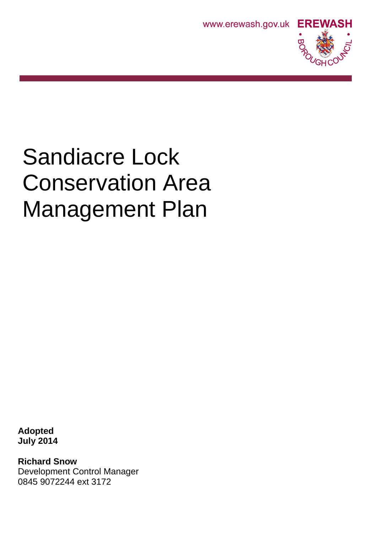



# Sandiacre Lock Conservation Area Management Plan

**Adopted July 2014**

**Richard Snow** Development Control Manager 0845 9072244 ext 3172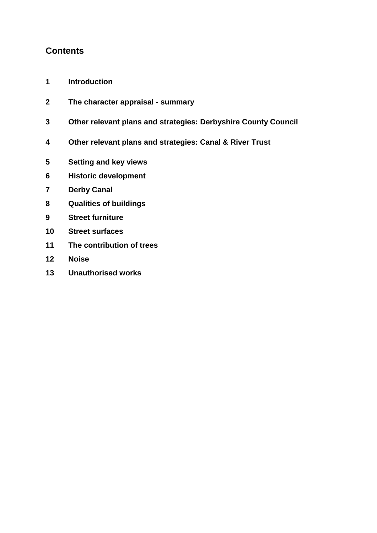# **Contents**

- **Introduction**
- **The character appraisal - summary**
- **Other relevant plans and strategies: Derbyshire County Council**
- **Other relevant plans and strategies: Canal & River Trust**
- **Setting and key views**
- **Historic development**
- **Derby Canal**
- **Qualities of buildings**
- **Street furniture**
- **Street surfaces**
- **The contribution of trees**
- **Noise**
- **Unauthorised works**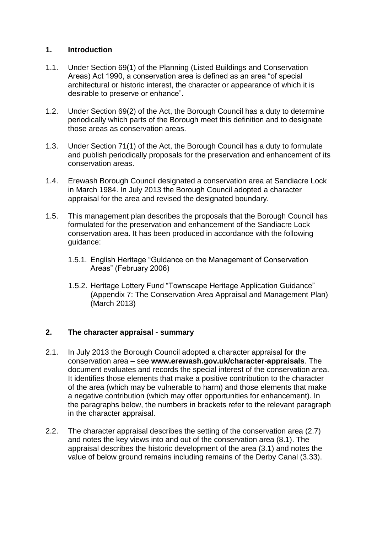# **1. Introduction**

- 1.1. Under Section 69(1) of the Planning (Listed Buildings and Conservation Areas) Act 1990, a conservation area is defined as an area "of special architectural or historic interest, the character or appearance of which it is desirable to preserve or enhance".
- 1.2. Under Section 69(2) of the Act, the Borough Council has a duty to determine periodically which parts of the Borough meet this definition and to designate those areas as conservation areas.
- 1.3. Under Section 71(1) of the Act, the Borough Council has a duty to formulate and publish periodically proposals for the preservation and enhancement of its conservation areas.
- 1.4. Erewash Borough Council designated a conservation area at Sandiacre Lock in March 1984. In July 2013 the Borough Council adopted a character appraisal for the area and revised the designated boundary.
- 1.5. This management plan describes the proposals that the Borough Council has formulated for the preservation and enhancement of the Sandiacre Lock conservation area. It has been produced in accordance with the following guidance:
	- 1.5.1. English Heritage "Guidance on the Management of Conservation Areas" (February 2006)
	- 1.5.2. Heritage Lottery Fund "Townscape Heritage Application Guidance" (Appendix 7: The Conservation Area Appraisal and Management Plan) (March 2013)

#### **2. The character appraisal - summary**

- 2.1. In July 2013 the Borough Council adopted a character appraisal for the conservation area – see **www.erewash.gov.uk/character-appraisals**. The document evaluates and records the special interest of the conservation area. It identifies those elements that make a positive contribution to the character of the area (which may be vulnerable to harm) and those elements that make a negative contribution (which may offer opportunities for enhancement). In the paragraphs below, the numbers in brackets refer to the relevant paragraph in the character appraisal.
- 2.2. The character appraisal describes the setting of the conservation area (2.7) and notes the key views into and out of the conservation area (8.1). The appraisal describes the historic development of the area (3.1) and notes the value of below ground remains including remains of the Derby Canal (3.33).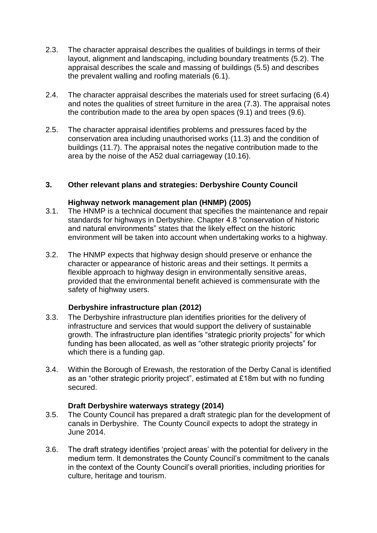- 2.3. The character appraisal describes the qualities of buildings in terms of their layout, alignment and landscaping, including boundary treatments (5.2). The appraisal describes the scale and massing of buildings (5.5) and describes the prevalent walling and roofing materials (6.1).
- 2.4. The character appraisal describes the materials used for street surfacing (6.4) and notes the qualities of street furniture in the area (7.3). The appraisal notes the contribution made to the area by open spaces (9.1) and trees (9.6).
- 2.5. The character appraisal identifies problems and pressures faced by the conservation area including unauthorised works (11.3) and the condition of buildings (11.7). The appraisal notes the negative contribution made to the area by the noise of the A52 dual carriageway (10.16).

## **3. Other relevant plans and strategies: Derbyshire County Council**

#### **Highway network management plan (HNMP) (2005)**

- 3.1. The HNMP is a technical document that specifies the maintenance and repair standards for highways in Derbyshire. Chapter 4.8 "conservation of historic and natural environments" states that the likely effect on the historic environment will be taken into account when undertaking works to a highway.
- 3.2. The HNMP expects that highway design should preserve or enhance the character or appearance of historic areas and their settings. It permits a flexible approach to highway design in environmentally sensitive areas, provided that the environmental benefit achieved is commensurate with the safety of highway users.

#### **Derbyshire infrastructure plan (2012)**

- 3.3. The Derbyshire infrastructure plan identifies priorities for the delivery of infrastructure and services that would support the delivery of sustainable growth. The infrastructure plan identifies "strategic priority projects" for which funding has been allocated, as well as "other strategic priority projects" for which there is a funding gap.
- 3.4. Within the Borough of Erewash, the restoration of the Derby Canal is identified as an "other strategic priority project", estimated at £18m but with no funding secured.

#### **Draft Derbyshire waterways strategy (2014)**

- 3.5. The County Council has prepared a draft strategic plan for the development of canals in Derbyshire. The County Council expects to adopt the strategy in June 2014.
- 3.6. The draft strategy identifies 'project areas' with the potential for delivery in the medium term. It demonstrates the County Council's commitment to the canals in the context of the County Council's overall priorities, including priorities for culture, heritage and tourism.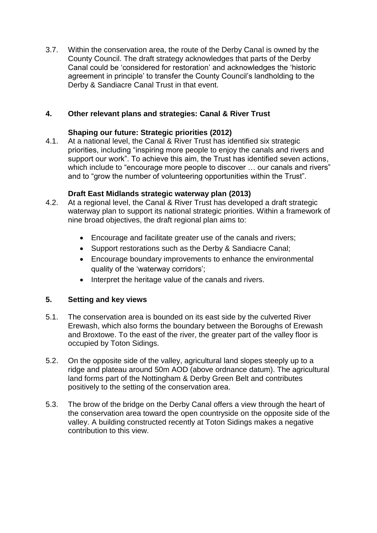3.7. Within the conservation area, the route of the Derby Canal is owned by the County Council. The draft strategy acknowledges that parts of the Derby Canal could be 'considered for restoration' and acknowledges the 'historic agreement in principle' to transfer the County Council's landholding to the Derby & Sandiacre Canal Trust in that event.

# **4. Other relevant plans and strategies: Canal & River Trust**

# **Shaping our future: Strategic priorities (2012)**

4.1. At a national level, the Canal & River Trust has identified six strategic priorities, including "inspiring more people to enjoy the canals and rivers and support our work". To achieve this aim, the Trust has identified seven actions, which include to "encourage more people to discover ... our canals and rivers" and to "grow the number of volunteering opportunities within the Trust".

## **Draft East Midlands strategic waterway plan (2013)**

- 4.2. At a regional level, the Canal & River Trust has developed a draft strategic waterway plan to support its national strategic priorities. Within a framework of nine broad objectives, the draft regional plan aims to:
	- Encourage and facilitate greater use of the canals and rivers;
	- Support restorations such as the Derby & Sandiacre Canal;
	- Encourage boundary improvements to enhance the environmental quality of the 'waterway corridors';
	- Interpret the heritage value of the canals and rivers.

# **5. Setting and key views**

- 5.1. The conservation area is bounded on its east side by the culverted River Erewash, which also forms the boundary between the Boroughs of Erewash and Broxtowe. To the east of the river, the greater part of the valley floor is occupied by Toton Sidings.
- 5.2. On the opposite side of the valley, agricultural land slopes steeply up to a ridge and plateau around 50m AOD (above ordnance datum). The agricultural land forms part of the Nottingham & Derby Green Belt and contributes positively to the setting of the conservation area.
- 5.3. The brow of the bridge on the Derby Canal offers a view through the heart of the conservation area toward the open countryside on the opposite side of the valley. A building constructed recently at Toton Sidings makes a negative contribution to this view.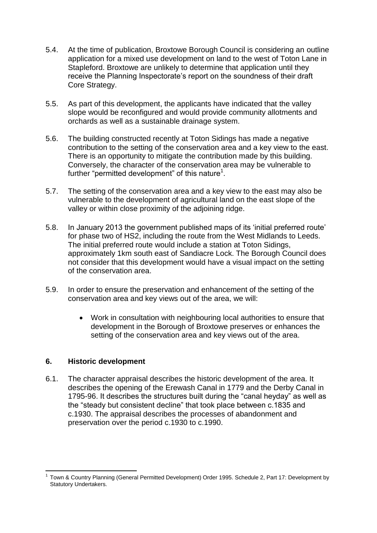- 5.4. At the time of publication, Broxtowe Borough Council is considering an outline application for a mixed use development on land to the west of Toton Lane in Stapleford. Broxtowe are unlikely to determine that application until they receive the Planning Inspectorate's report on the soundness of their draft Core Strategy.
- 5.5. As part of this development, the applicants have indicated that the valley slope would be reconfigured and would provide community allotments and orchards as well as a sustainable drainage system.
- 5.6. The building constructed recently at Toton Sidings has made a negative contribution to the setting of the conservation area and a key view to the east. There is an opportunity to mitigate the contribution made by this building. Conversely, the character of the conservation area may be vulnerable to further "permitted development" of this nature<sup>1</sup>.
- 5.7. The setting of the conservation area and a key view to the east may also be vulnerable to the development of agricultural land on the east slope of the valley or within close proximity of the adjoining ridge.
- 5.8. In January 2013 the government published maps of its 'initial preferred route' for phase two of HS2, including the route from the West Midlands to Leeds. The initial preferred route would include a station at Toton Sidings, approximately 1km south east of Sandiacre Lock. The Borough Council does not consider that this development would have a visual impact on the setting of the conservation area.
- 5.9. In order to ensure the preservation and enhancement of the setting of the conservation area and key views out of the area, we will:
	- Work in consultation with neighbouring local authorities to ensure that development in the Borough of Broxtowe preserves or enhances the setting of the conservation area and key views out of the area.

#### **6. Historic development**

6.1. The character appraisal describes the historic development of the area. It describes the opening of the Erewash Canal in 1779 and the Derby Canal in 1795-96. It describes the structures built during the "canal heyday" as well as the "steady but consistent decline" that took place between c.1835 and c.1930. The appraisal describes the processes of abandonment and preservation over the period c.1930 to c.1990.

**<sup>.</sup>** 1 Town & Country Planning (General Permitted Development) Order 1995. Schedule 2, Part 17: Development by Statutory Undertakers.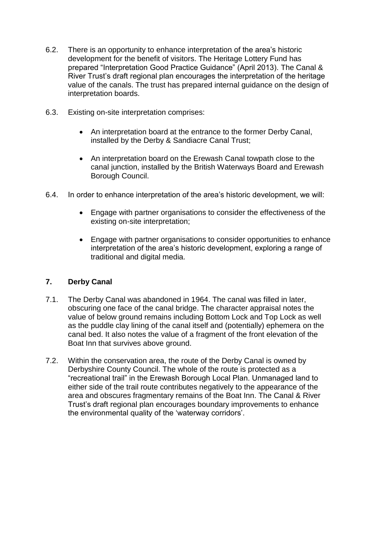- 6.2. There is an opportunity to enhance interpretation of the area's historic development for the benefit of visitors. The Heritage Lottery Fund has prepared "Interpretation Good Practice Guidance" (April 2013). The Canal & River Trust's draft regional plan encourages the interpretation of the heritage value of the canals. The trust has prepared internal guidance on the design of interpretation boards.
- 6.3. Existing on-site interpretation comprises:
	- An interpretation board at the entrance to the former Derby Canal, installed by the Derby & Sandiacre Canal Trust;
	- An interpretation board on the Erewash Canal towpath close to the canal junction, installed by the British Waterways Board and Erewash Borough Council.
- 6.4. In order to enhance interpretation of the area's historic development, we will:
	- Engage with partner organisations to consider the effectiveness of the existing on-site interpretation;
	- Engage with partner organisations to consider opportunities to enhance interpretation of the area's historic development, exploring a range of traditional and digital media.

# **7. Derby Canal**

- 7.1. The Derby Canal was abandoned in 1964. The canal was filled in later, obscuring one face of the canal bridge. The character appraisal notes the value of below ground remains including Bottom Lock and Top Lock as well as the puddle clay lining of the canal itself and (potentially) ephemera on the canal bed. It also notes the value of a fragment of the front elevation of the Boat Inn that survives above ground.
- 7.2. Within the conservation area, the route of the Derby Canal is owned by Derbyshire County Council. The whole of the route is protected as a "recreational trail" in the Erewash Borough Local Plan. Unmanaged land to either side of the trail route contributes negatively to the appearance of the area and obscures fragmentary remains of the Boat Inn. The Canal & River Trust's draft regional plan encourages boundary improvements to enhance the environmental quality of the 'waterway corridors'.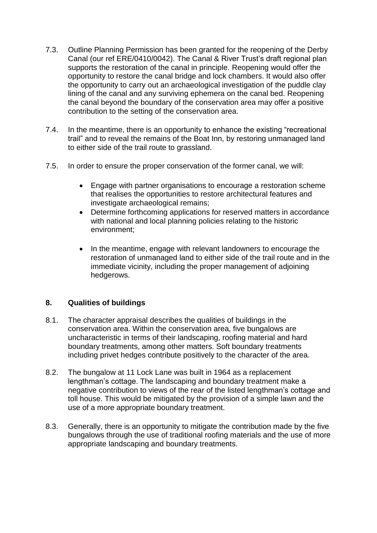- 7.3. Outline Planning Permission has been granted for the reopening of the Derby Canal (our ref ERE/0410/0042). The Canal & River Trust's draft regional plan supports the restoration of the canal in principle. Reopening would offer the opportunity to restore the canal bridge and lock chambers. It would also offer the opportunity to carry out an archaeological investigation of the puddle clay lining of the canal and any surviving ephemera on the canal bed. Reopening the canal beyond the boundary of the conservation area may offer a positive contribution to the setting of the conservation area.
- 7.4. In the meantime, there is an opportunity to enhance the existing "recreational trail" and to reveal the remains of the Boat Inn, by restoring unmanaged land to either side of the trail route to grassland.
- 7.5. In order to ensure the proper conservation of the former canal, we will:
	- Engage with partner organisations to encourage a restoration scheme that realises the opportunities to restore architectural features and investigate archaeological remains;
	- Determine forthcoming applications for reserved matters in accordance with national and local planning policies relating to the historic environment;
	- In the meantime, engage with relevant landowners to encourage the restoration of unmanaged land to either side of the trail route and in the immediate vicinity, including the proper management of adjoining hedgerows.

# **8. Qualities of buildings**

- 8.1. The character appraisal describes the qualities of buildings in the conservation area. Within the conservation area, five bungalows are uncharacteristic in terms of their landscaping, roofing material and hard boundary treatments, among other matters. Soft boundary treatments including privet hedges contribute positively to the character of the area.
- 8.2. The bungalow at 11 Lock Lane was built in 1964 as a replacement lengthman's cottage. The landscaping and boundary treatment make a negative contribution to views of the rear of the listed lengthman's cottage and toll house. This would be mitigated by the provision of a simple lawn and the use of a more appropriate boundary treatment.
- 8.3. Generally, there is an opportunity to mitigate the contribution made by the five bungalows through the use of traditional roofing materials and the use of more appropriate landscaping and boundary treatments.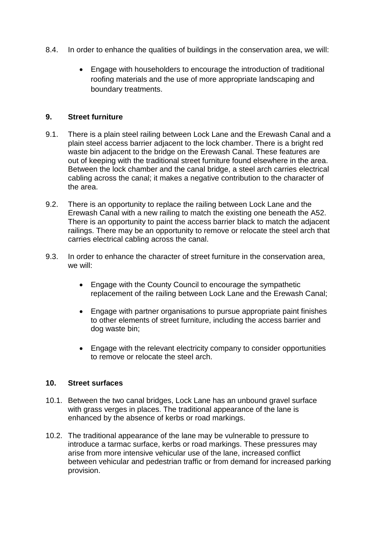- 8.4. In order to enhance the qualities of buildings in the conservation area, we will:
	- Engage with householders to encourage the introduction of traditional roofing materials and the use of more appropriate landscaping and boundary treatments.

## **9. Street furniture**

- 9.1. There is a plain steel railing between Lock Lane and the Erewash Canal and a plain steel access barrier adjacent to the lock chamber. There is a bright red waste bin adjacent to the bridge on the Erewash Canal. These features are out of keeping with the traditional street furniture found elsewhere in the area. Between the lock chamber and the canal bridge, a steel arch carries electrical cabling across the canal; it makes a negative contribution to the character of the area.
- 9.2. There is an opportunity to replace the railing between Lock Lane and the Erewash Canal with a new railing to match the existing one beneath the A52. There is an opportunity to paint the access barrier black to match the adjacent railings. There may be an opportunity to remove or relocate the steel arch that carries electrical cabling across the canal.
- 9.3. In order to enhance the character of street furniture in the conservation area, we will:
	- Engage with the County Council to encourage the sympathetic replacement of the railing between Lock Lane and the Erewash Canal;
	- Engage with partner organisations to pursue appropriate paint finishes to other elements of street furniture, including the access barrier and dog waste bin;
	- Engage with the relevant electricity company to consider opportunities to remove or relocate the steel arch.

#### **10. Street surfaces**

- 10.1. Between the two canal bridges, Lock Lane has an unbound gravel surface with grass verges in places. The traditional appearance of the lane is enhanced by the absence of kerbs or road markings.
- 10.2. The traditional appearance of the lane may be vulnerable to pressure to introduce a tarmac surface, kerbs or road markings. These pressures may arise from more intensive vehicular use of the lane, increased conflict between vehicular and pedestrian traffic or from demand for increased parking provision.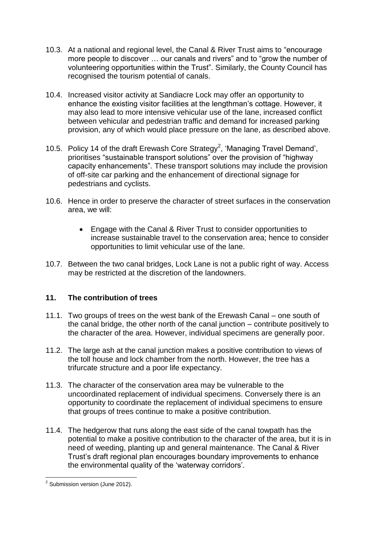- 10.3. At a national and regional level, the Canal & River Trust aims to "encourage more people to discover … our canals and rivers" and to "grow the number of volunteering opportunities within the Trust". Similarly, the County Council has recognised the tourism potential of canals.
- 10.4. Increased visitor activity at Sandiacre Lock may offer an opportunity to enhance the existing visitor facilities at the lengthman's cottage. However, it may also lead to more intensive vehicular use of the lane, increased conflict between vehicular and pedestrian traffic and demand for increased parking provision, any of which would place pressure on the lane, as described above.
- 10.5. Policy 14 of the draft Erewash Core Strategy<sup>2</sup>, 'Managing Travel Demand', prioritises "sustainable transport solutions" over the provision of "highway capacity enhancements". These transport solutions may include the provision of off-site car parking and the enhancement of directional signage for pedestrians and cyclists.
- 10.6. Hence in order to preserve the character of street surfaces in the conservation area, we will:
	- Engage with the Canal & River Trust to consider opportunities to increase sustainable travel to the conservation area; hence to consider opportunities to limit vehicular use of the lane.
- 10.7. Between the two canal bridges, Lock Lane is not a public right of way. Access may be restricted at the discretion of the landowners.

# **11. The contribution of trees**

- 11.1. Two groups of trees on the west bank of the Erewash Canal one south of the canal bridge, the other north of the canal junction – contribute positively to the character of the area. However, individual specimens are generally poor.
- 11.2. The large ash at the canal junction makes a positive contribution to views of the toll house and lock chamber from the north. However, the tree has a trifurcate structure and a poor life expectancy.
- 11.3. The character of the conservation area may be vulnerable to the uncoordinated replacement of individual specimens. Conversely there is an opportunity to coordinate the replacement of individual specimens to ensure that groups of trees continue to make a positive contribution.
- 11.4. The hedgerow that runs along the east side of the canal towpath has the potential to make a positive contribution to the character of the area, but it is in need of weeding, planting up and general maintenance. The Canal & River Trust's draft regional plan encourages boundary improvements to enhance the environmental quality of the 'waterway corridors'.

 2 Submission version (June 2012).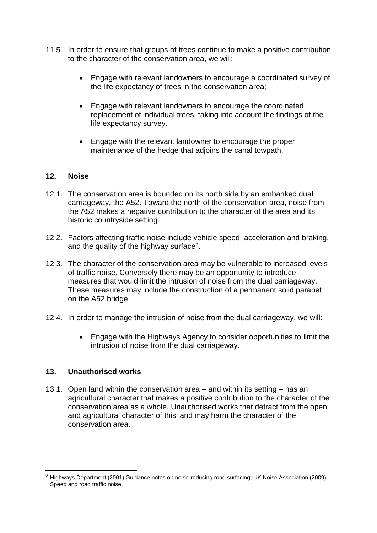- 11.5. In order to ensure that groups of trees continue to make a positive contribution to the character of the conservation area, we will:
	- Engage with relevant landowners to encourage a coordinated survey of the life expectancy of trees in the conservation area;
	- Engage with relevant landowners to encourage the coordinated replacement of individual trees, taking into account the findings of the life expectancy survey.
	- Engage with the relevant landowner to encourage the proper maintenance of the hedge that adjoins the canal towpath.

#### **12. Noise**

- 12.1. The conservation area is bounded on its north side by an embanked dual carriageway, the A52. Toward the north of the conservation area, noise from the A52 makes a negative contribution to the character of the area and its historic countryside setting.
- 12.2. Factors affecting traffic noise include vehicle speed, acceleration and braking, and the quality of the highway surface $3$ .
- 12.3. The character of the conservation area may be vulnerable to increased levels of traffic noise. Conversely there may be an opportunity to introduce measures that would limit the intrusion of noise from the dual carriageway. These measures may include the construction of a permanent solid parapet on the A52 bridge.
- 12.4. In order to manage the intrusion of noise from the dual carriageway, we will:
	- Engage with the Highways Agency to consider opportunities to limit the intrusion of noise from the dual carriageway.

#### **13. Unauthorised works**

13.1. Open land within the conservation area – and within its setting – has an agricultural character that makes a positive contribution to the character of the conservation area as a whole. Unauthorised works that detract from the open and agricultural character of this land may harm the character of the conservation area.

**<sup>.</sup>** <sup>3</sup> Highways Department (2001) Guidance notes on noise-reducing road surfacing; UK Noise Association (2009) Speed and road traffic noise.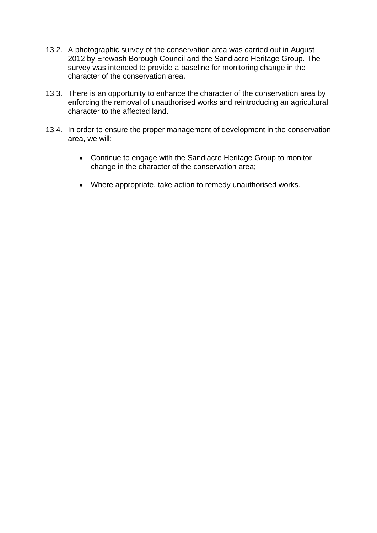- 13.2. A photographic survey of the conservation area was carried out in August 2012 by Erewash Borough Council and the Sandiacre Heritage Group. The survey was intended to provide a baseline for monitoring change in the character of the conservation area.
- 13.3. There is an opportunity to enhance the character of the conservation area by enforcing the removal of unauthorised works and reintroducing an agricultural character to the affected land.
- 13.4. In order to ensure the proper management of development in the conservation area, we will:
	- Continue to engage with the Sandiacre Heritage Group to monitor change in the character of the conservation area;
	- Where appropriate, take action to remedy unauthorised works.